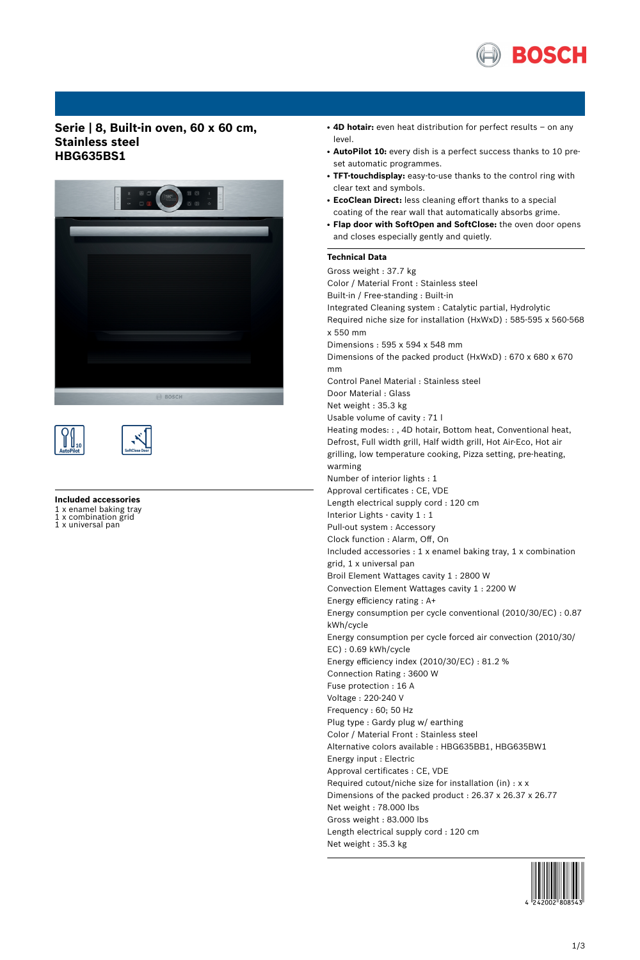

## **Serie | 8, Built-in oven, 60 x 60 cm, Stainless steel HBG635BS1**







## **Included accessories**

1 x enamel baking tray<br>1 x combination grid

x combination grid 1 x universal pan

- 4D hotair: even heat distribution for perfect results on any level.
- **AutoPilot 10:** every dish is a perfect success thanks to 10 preset automatic programmes.
- **TFT-touchdisplay:** easy-to-use thanks to the control ring with clear text and symbols.
- **EcoClean Direct:** less cleaning effort thanks to a special coating of the rear wall that automatically absorbs grime.
- **Flap door with SoftOpen and SoftClose:** the oven door opens and closes especially gently and quietly.

## **Technical Data**

Gross weight : 37.7 kg Color / Material Front : Stainless steel Built-in / Free-standing : Built-in Integrated Cleaning system : Catalytic partial, Hydrolytic Required niche size for installation (HxWxD) : 585-595 x 560-568 x 550 mm Dimensions : 595 x 594 x 548 mm Dimensions of the packed product (HxWxD) : 670 x 680 x 670 mm Control Panel Material : Stainless steel Door Material : Glass Net weight : 35.3 kg Usable volume of cavity : 71 l Heating modes: : , 4D hotair, Bottom heat, Conventional heat, Defrost, Full width grill, Half width grill, Hot Air-Eco, Hot air grilling, low temperature cooking, Pizza setting, pre-heating, warming Number of interior lights : 1 Approval certificates : CE, VDE Length electrical supply cord : 120 cm Interior Lights - cavity 1 : 1 Pull-out system : Accessory Clock function : Alarm, Off, On Included accessories : 1 x enamel baking tray, 1 x combination grid, 1 x universal pan Broil Element Wattages cavity 1 : 2800 W Convection Element Wattages cavity 1 : 2200 W Energy efficiency rating : A+ Energy consumption per cycle conventional (2010/30/EC) : 0.87 kWh/cycle Energy consumption per cycle forced air convection (2010/30/ EC) : 0.69 kWh/cycle Energy efficiency index (2010/30/EC) : 81.2 % Connection Rating : 3600 W Fuse protection : 16 A Voltage : 220-240 V Frequency : 60; 50 Hz Plug type : Gardy plug w/ earthing Color / Material Front : Stainless steel Alternative colors available : HBG635BB1, HBG635BW1 Energy input : Electric Approval certificates : CE, VDE Required cutout/niche size for installation (in) : x x Dimensions of the packed product : 26.37 x 26.37 x 26.77 Net weight : 78.000 lbs Gross weight : 83.000 lbs Length electrical supply cord : 120 cm Net weight : 35.3 kg

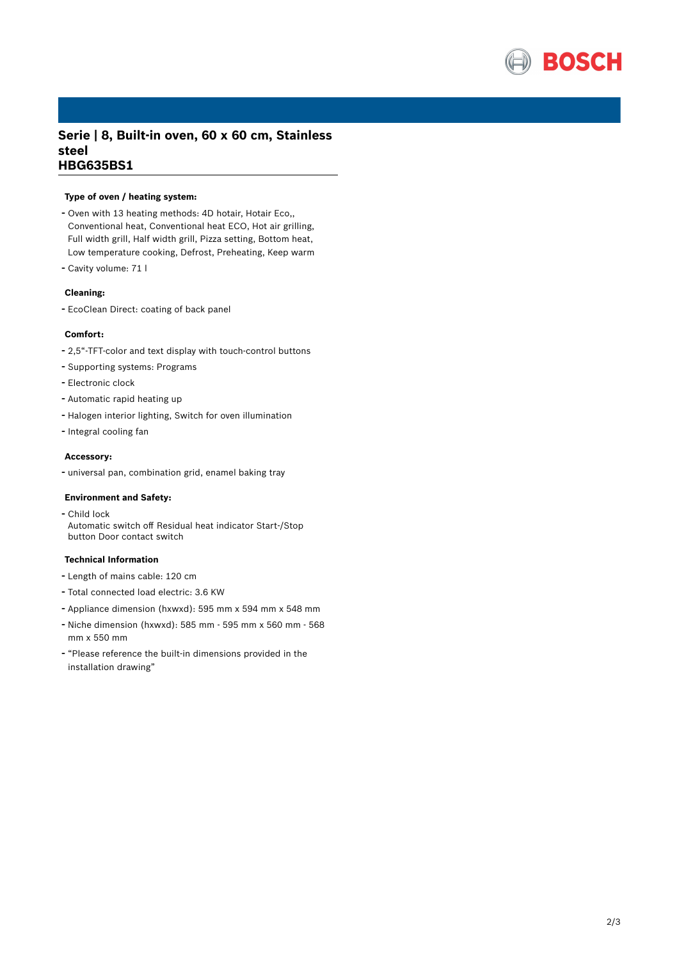

# **Serie | 8, Built-in oven, 60 x 60 cm, Stainless steel HBG635BS1**

## **Type of oven / heating system:**

- Oven with <sup>13</sup> heating methods: 4D hotair, Hotair Eco,, Conventional heat, Conventional heat ECO, Hot air grilling, Full width grill, Half width grill, Pizza setting, Bottom heat, Low temperature cooking, Defrost, Preheating, Keep warm
- Cavity volume: <sup>71</sup> <sup>l</sup>

#### **Cleaning:**

- EcoClean Direct: coating of back panel

#### **Comfort:**

- 2,5"-TFT-color and text display with touch-control buttons
- Supporting systems: Programs
- Electronic clock
- Automatic rapid heating up
- Halogen interior lighting, Switch for oven illumination
- Integral cooling fan

## **Accessory:**

- universal pan, combination grid, enamel baking tray

#### **Environment and Safety:**

- Child lock Automatic switch off Residual heat indicator Start-/Stop button Door contact switch

### **Technical Information**

- Length of mains cable: <sup>120</sup> cm
- Total connected load electric: 3.6 KW
- Appliance dimension (hxwxd): 595 mm x 594 mm x 548 mm
- Niche dimension (hxwxd): <sup>585</sup> mm <sup>595</sup> mm <sup>x</sup> <sup>560</sup> mm <sup>568</sup> mm x 550 mm
- "Please reference the built-in dimensions provided in the installation drawing"